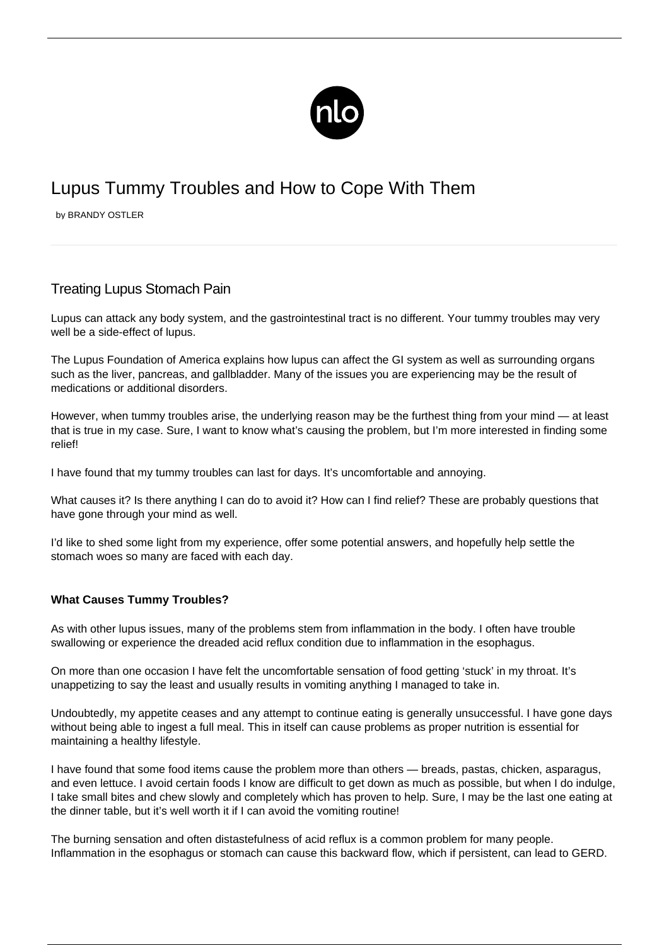

# Lupus Tummy Troubles and How to Cope With Them

by BRANDY OSTLER

## Treating Lupus Stomach Pain

Lupus can attack any body system, and the gastrointestinal tract is no different. Your tummy troubles may very well be a side-effect of lupus.

The Lupus Foundation of America explains how lupus can affect the GI system as well as surrounding organs such as the liver, pancreas, and gallbladder. Many of the issues you are experiencing may be the result of medications or additional disorders.

However, when tummy troubles arise, the underlying reason may be the furthest thing from your mind — at least that is true in my case. Sure, I want to know what's causing the problem, but I'm more interested in finding some relief!

I have found that my tummy troubles can last for days. It's uncomfortable and annoying.

What causes it? Is there anything I can do to avoid it? How can I find relief? These are probably questions that have gone through your mind as well.

I'd like to shed some light from my experience, offer some potential answers, and hopefully help settle the stomach woes so many are faced with each day.

### **What Causes Tummy Troubles?**

As with other lupus issues, many of the problems stem from inflammation in the body. I often have trouble swallowing or experience the dreaded acid reflux condition due to inflammation in the esophagus.

On more than one occasion I have felt the uncomfortable sensation of food getting 'stuck' in my throat. It's unappetizing to say the least and usually results in vomiting anything I managed to take in.

Undoubtedly, my appetite ceases and any attempt to continue eating is generally unsuccessful. I have gone days without being able to ingest a full meal. This in itself can cause problems as proper nutrition is essential for maintaining a healthy lifestyle.

I have found that some food items cause the problem more than others — breads, pastas, chicken, asparagus, and even lettuce. I avoid certain foods I know are difficult to get down as much as possible, but when I do indulge, I take small bites and chew slowly and completely which has proven to help. Sure, I may be the last one eating at the dinner table, but it's well worth it if I can avoid the vomiting routine!

The burning sensation and often distastefulness of acid reflux is a common problem for many people. Inflammation in the esophagus or stomach can cause this backward flow, which if persistent, can lead to GERD.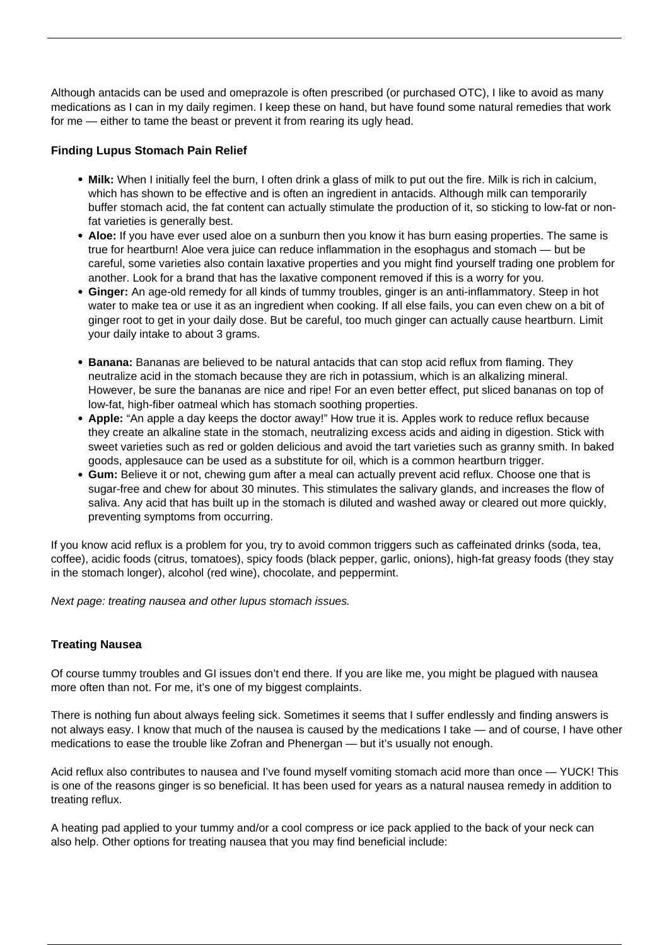Although antacids can be used and omeprazole is often prescribed (or purchased OTC), I like to avoid as many medications as I can in my daily regimen. I keep these on hand, but have found some natural remedies that work for me — either to tame the beast or prevent it from rearing its ugly head.

#### **Finding Lupus Stomach Pain Relief**

- **Milk:** When I initially feel the burn, I often drink a glass of milk to put out the fire. Milk is rich in calcium, which has shown to be effective and is often an ingredient in antacids. Although milk can temporarily buffer stomach acid, the fat content can actually stimulate the production of it, so sticking to low-fat or nonfat varieties is generally best.
- **Aloe:** If you have ever used aloe on a sunburn then you know it has burn easing properties. The same is true for heartburn! Aloe vera juice can reduce inflammation in the esophagus and stomach — but be careful, some varieties also contain laxative properties and you might find yourself trading one problem for another. Look for a brand that has the laxative component removed if this is a worry for you.
- **Ginger:** An age-old remedy for all kinds of tummy troubles, ginger is an anti-inflammatory. Steep in hot water to make tea or use it as an ingredient when cooking. If all else fails, you can even chew on a bit of ginger root to get in your daily dose. But be careful, too much ginger can actually cause heartburn. Limit your daily intake to about 3 grams.
- **Banana:** Bananas are believed to be natural antacids that can stop acid reflux from flaming. They neutralize acid in the stomach because they are rich in potassium, which is an alkalizing mineral. However, be sure the bananas are nice and ripe! For an even better effect, put sliced bananas on top of low-fat, high-fiber oatmeal which has stomach soothing properties.
- **Apple:** "An apple a day keeps the doctor away!" How true it is. Apples work to reduce reflux because they create an alkaline state in the stomach, neutralizing excess acids and aiding in digestion. Stick with sweet varieties such as red or golden delicious and avoid the tart varieties such as granny smith. In baked goods, applesauce can be used as a substitute for oil, which is a common heartburn trigger.
- **Gum:** Believe it or not, chewing gum after a meal can actually prevent acid reflux. Choose one that is sugar-free and chew for about 30 minutes. This stimulates the salivary glands, and increases the flow of saliva. Any acid that has built up in the stomach is diluted and washed away or cleared out more quickly, preventing symptoms from occurring.

If you know acid reflux is a problem for you, try to avoid common triggers such as caffeinated drinks (soda, tea, coffee), acidic foods (citrus, tomatoes), spicy foods (black pepper, garlic, onions), high-fat greasy foods (they stay in the stomach longer), alcohol (red wine), chocolate, and peppermint.

Next page: treating nausea and other lupus stomach issues.

#### **Treating Nausea**

Of course tummy troubles and GI issues don't end there. If you are like me, you might be plagued with nausea more often than not. For me, it's one of my biggest complaints.

There is nothing fun about always feeling sick. Sometimes it seems that I suffer endlessly and finding answers is not always easy. I know that much of the nausea is caused by the medications I take — and of course, I have other medications to ease the trouble like Zofran and Phenergan — but it's usually not enough.

Acid reflux also contributes to nausea and I've found myself vomiting stomach acid more than once — YUCK! This is one of the reasons ginger is so beneficial. It has been used for years as a natural nausea remedy in addition to treating reflux.

A heating pad applied to your tummy and/or a cool compress or ice pack applied to the back of your neck can also help. Other options for treating nausea that you may find beneficial include: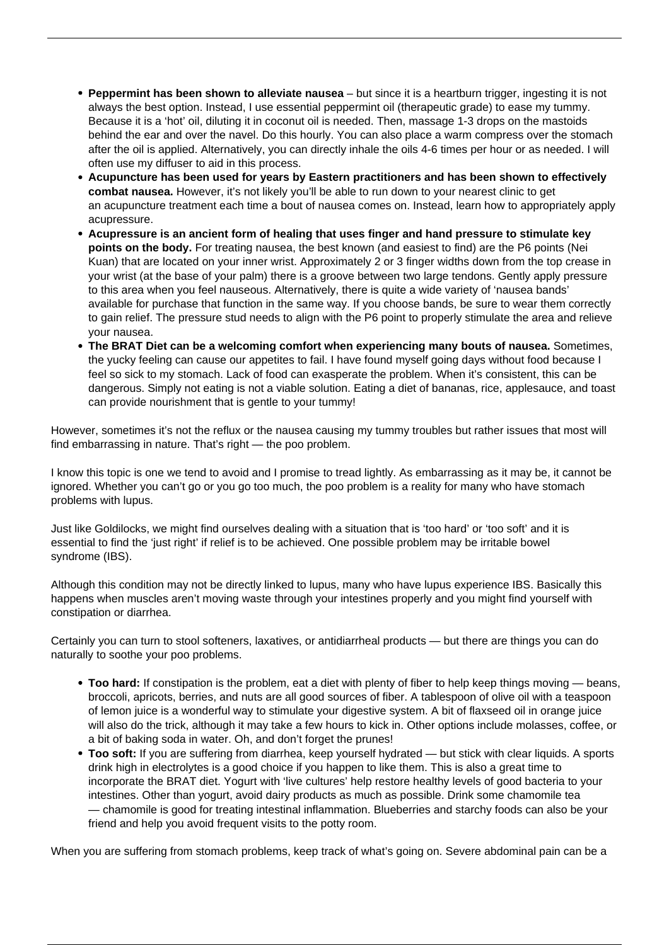- **Peppermint has been shown to alleviate nausea** but since it is a heartburn trigger, ingesting it is not always the best option. Instead, I use essential peppermint oil (therapeutic grade) to ease my tummy. Because it is a 'hot' oil, diluting it in coconut oil is needed. Then, massage 1-3 drops on the mastoids behind the ear and over the navel. Do this hourly. You can also place a warm compress over the stomach after the oil is applied. Alternatively, you can directly inhale the oils 4-6 times per hour or as needed. I will often use my diffuser to aid in this process.
- **Acupuncture has been used for years by Eastern practitioners and has been shown to effectively combat nausea.** However, it's not likely you'll be able to run down to your nearest clinic to get an [acupuncture treatment](/acupuncture-for-lupus/) each time a bout of nausea comes on. Instead, learn how to appropriately apply acupressure.
- **Acupressure is an ancient form of healing that uses finger and hand pressure to stimulate key points on the body.** For treating nausea, the best known (and easiest to find) are the P6 points (Nei Kuan) that are located on your inner wrist. Approximately 2 or 3 finger widths down from the top crease in your wrist (at the base of your palm) there is a groove between two large tendons. Gently apply pressure to this area when you feel nauseous. Alternatively, there is quite a wide variety of 'nausea bands' available for purchase that function in the same way. If you choose bands, be sure to wear them correctly to gain relief. The pressure stud needs to align with the P6 point to properly stimulate the area and relieve your nausea.
- **The BRAT Diet can be a welcoming comfort when experiencing many bouts of nausea.** Sometimes, the yucky feeling can cause our appetites to fail. I have found myself going days without food because I feel so sick to my stomach. Lack of food can exasperate the problem. When it's consistent, this can be dangerous. Simply not eating is not a viable solution. Eating a diet of bananas, rice, applesauce, and toast can provide nourishment that is gentle to your tummy!

However, sometimes it's not the reflux or the nausea causing my tummy troubles but rather issues that most will find embarrassing in nature. That's right — the poo problem.

I know this topic is one we tend to avoid and I promise to tread lightly. As embarrassing as it may be, it cannot be ignored. Whether you can't go or you go too much, the poo problem is a reality for many who have stomach problems with lupus.

Just like Goldilocks, we might find ourselves dealing with a situation that is 'too hard' or 'too soft' and it is essential to find the 'just right' if relief is to be achieved. One possible problem may be irritable bowel syndrome (IBS).

Although this condition may not be directly linked to lupus, many who have lupus experience IBS. Basically this happens when muscles aren't moving waste through your intestines properly and you might find yourself with constipation or diarrhea.

Certainly you can turn to stool softeners, laxatives, or antidiarrheal products — but there are things you can do naturally to soothe your poo problems.

- **Too hard:** If constipation is the problem, eat a diet with plenty of fiber to help keep things moving beans, broccoli, apricots, berries, and nuts are all good sources of fiber. A tablespoon of olive oil with a teaspoon of lemon juice is a wonderful way to stimulate your digestive system. A bit of flaxseed oil in orange juice will also do the trick, although it may take a few hours to kick in. Other options include molasses, coffee, or a bit of baking soda in water. Oh, and don't forget the prunes!
- **Too soft:** If you are suffering from diarrhea, keep yourself hydrated but stick with clear liquids. A sports drink high in electrolytes is a good choice if you happen to like them. This is also a great time to incorporate the BRAT diet. Yogurt with 'live cultures' help restore healthy levels of good bacteria to your intestines. Other than yogurt, avoid dairy products as much as possible. Drink some chamomile tea — chamomile is good for treating intestinal inflammation. Blueberries and starchy foods can also be your friend and help you avoid frequent visits to the potty room.

When you are suffering from stomach problems, keep track of what's going on. Severe abdominal pain can be a